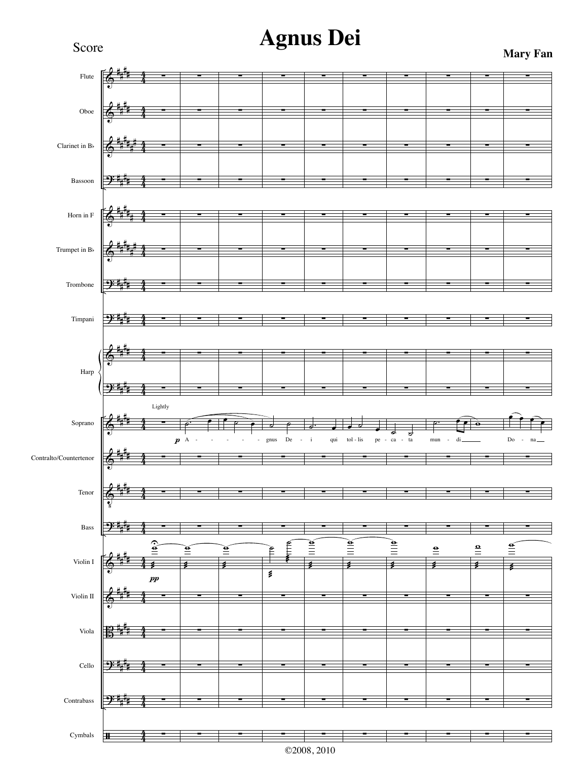



<sup>©2008, 2010</sup>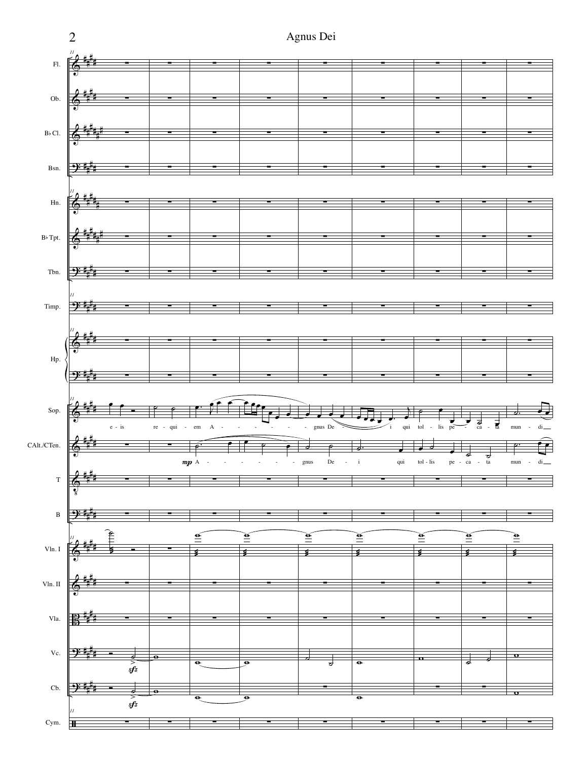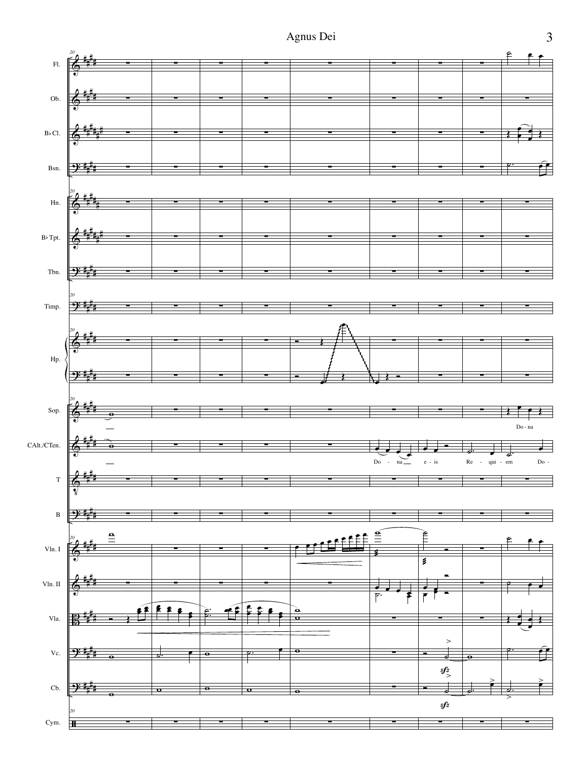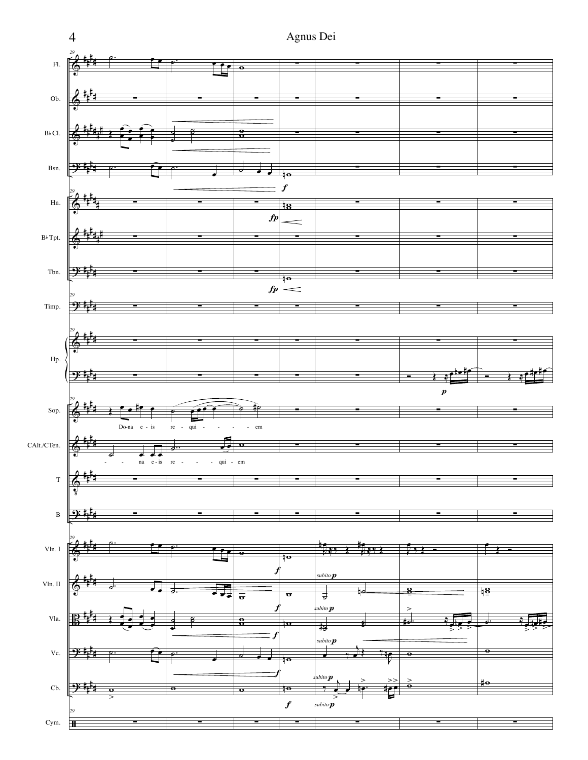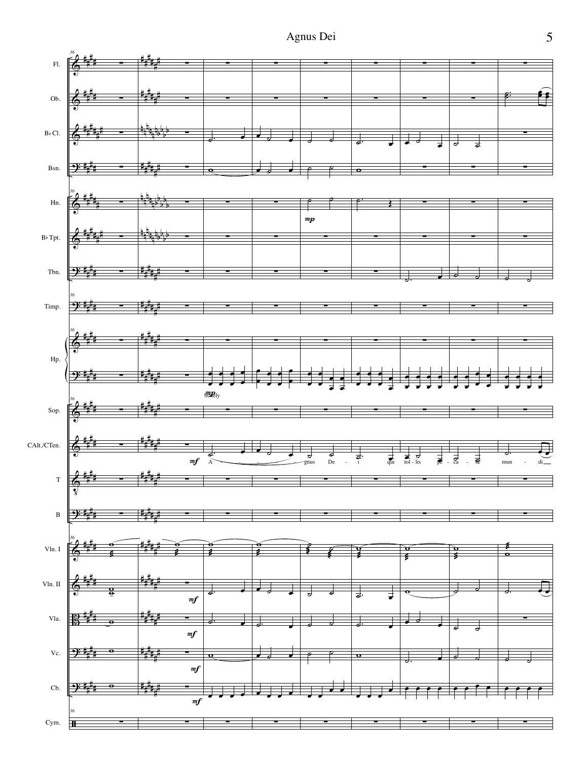## Agnus Dei

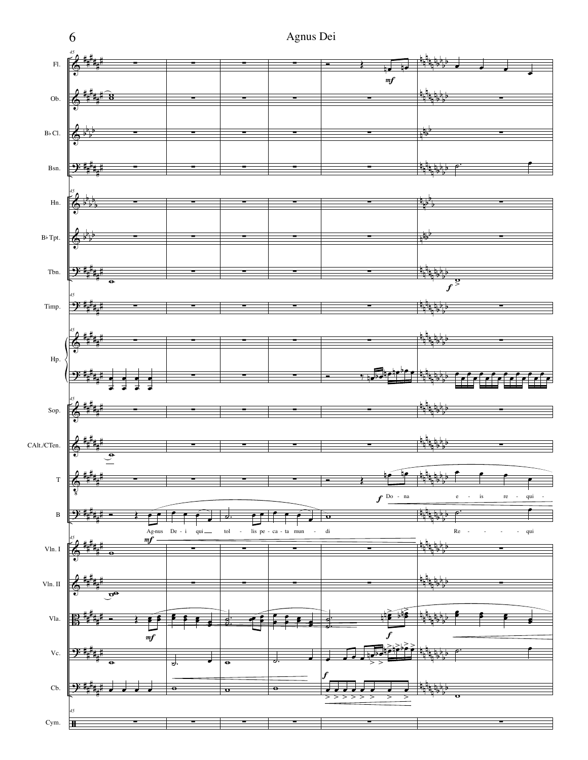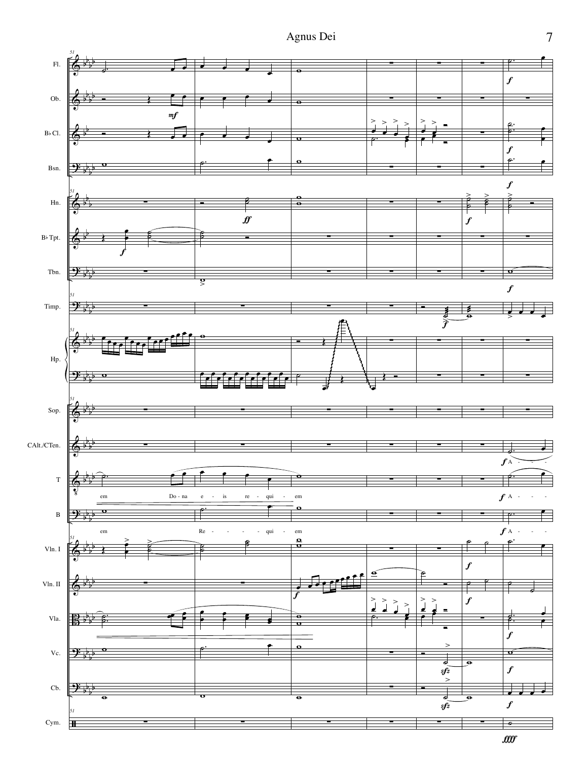Agnus Dei



**ffff**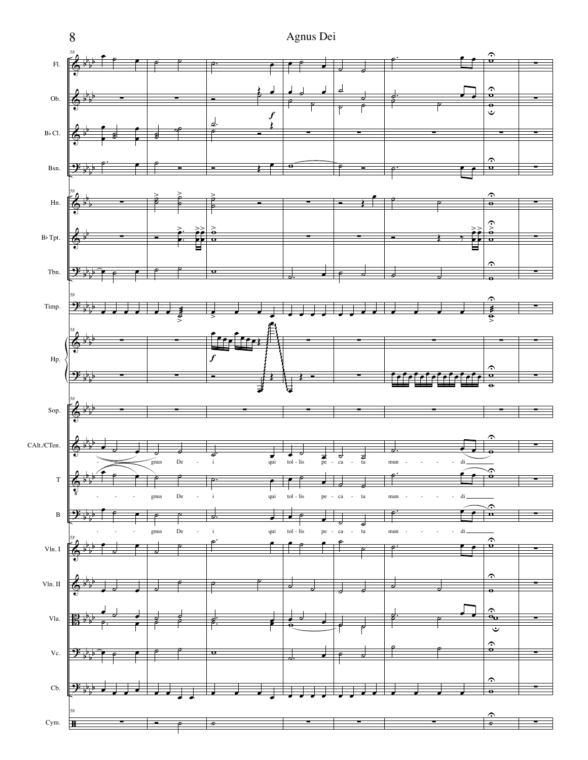